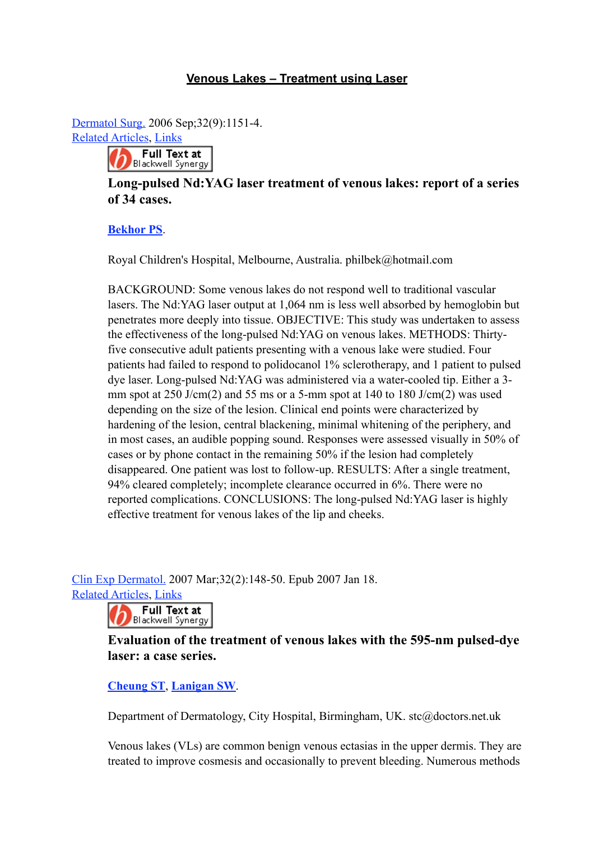## **Venous Lakes – Treatment using Laser**

Dermatol Surg. 2006 Sep;32(9):1151-4.

[Related Articles,](http://www.ncbi.nlm.nih.gov/sites/entrez?Db=pubmed&DbFrom=pubmed&Cmd=Link&LinkName=pubmed_pubmed&LinkReadableName=Related%20Articles&IdsFromResult=16970696&ordinalpos=1&itool=EntrezSystem2.PEntrez.Pubmed.Pubmed_ResultsPanel.Pubmed_RVAbstract) Links



## **Long-pulsed Nd:YAG laser treatment of venous lakes: report of a series of 34 cases.**

## **[Bekhor PS](http://www.ncbi.nlm.nih.gov/sites/entrez?Db=pubmed&Cmd=Search&Term=%22Bekhor%20PS%22%5BAuthor%5D&itool=EntrezSystem2.PEntrez.Pubmed.Pubmed_ResultsPanel.Pubmed_RVAbstract)**.

Royal Children's Hospital, Melbourne, Australia. philbek@hotmail.com

BACKGROUND: Some venous lakes do not respond well to traditional vascular lasers. The Nd:YAG laser output at 1,064 nm is less well absorbed by hemoglobin but penetrates more deeply into tissue. OBJECTIVE: This study was undertaken to assess the effectiveness of the long-pulsed Nd:YAG on venous lakes. METHODS: Thirtyfive consecutive adult patients presenting with a venous lake were studied. Four patients had failed to respond to polidocanol 1% sclerotherapy, and 1 patient to pulsed dye laser. Long-pulsed Nd:YAG was administered via a water-cooled tip. Either a 3 mm spot at 250 J/cm(2) and 55 ms or a 5-mm spot at 140 to 180 J/cm(2) was used depending on the size of the lesion. Clinical end points were characterized by hardening of the lesion, central blackening, minimal whitening of the periphery, and in most cases, an audible popping sound. Responses were assessed visually in 50% of cases or by phone contact in the remaining 50% if the lesion had completely disappeared. One patient was lost to follow-up. RESULTS: After a single treatment, 94% cleared completely; incomplete clearance occurred in 6%. There were no reported complications. CONCLUSIONS: The long-pulsed Nd:YAG laser is highly effective treatment for venous lakes of the lip and cheeks.

Clin Exp Dermatol. 2007 Mar;32(2):148-50. Epub 2007 Jan 18. [Related Articles,](http://www.ncbi.nlm.nih.gov/sites/entrez?Db=pubmed&DbFrom=pubmed&Cmd=Link&LinkName=pubmed_pubmed&LinkReadableName=Related%20Articles&IdsFromResult=17244345&ordinalpos=1&itool=EntrezSystem2.PEntrez.Pubmed.Pubmed_ResultsPanel.Pubmed_RVAbstract) Links



**Evaluation of the treatment of venous lakes with the 595-nm pulsed-dye laser: a case series.**

## **[Cheung ST](http://www.ncbi.nlm.nih.gov/sites/entrez?Db=pubmed&Cmd=Search&Term=%22Cheung%20ST%22%5BAuthor%5D&itool=EntrezSystem2.PEntrez.Pubmed.Pubmed_ResultsPanel.Pubmed_RVAbstract)**, **[Lanigan SW](http://www.ncbi.nlm.nih.gov/sites/entrez?Db=pubmed&Cmd=Search&Term=%22Lanigan%20SW%22%5BAuthor%5D&itool=EntrezSystem2.PEntrez.Pubmed.Pubmed_ResultsPanel.Pubmed_RVAbstract)**.

Department of Dermatology, City Hospital, Birmingham, UK. stc@doctors.net.uk

Venous lakes (VLs) are common benign venous ectasias in the upper dermis. They are treated to improve cosmesis and occasionally to prevent bleeding. Numerous methods